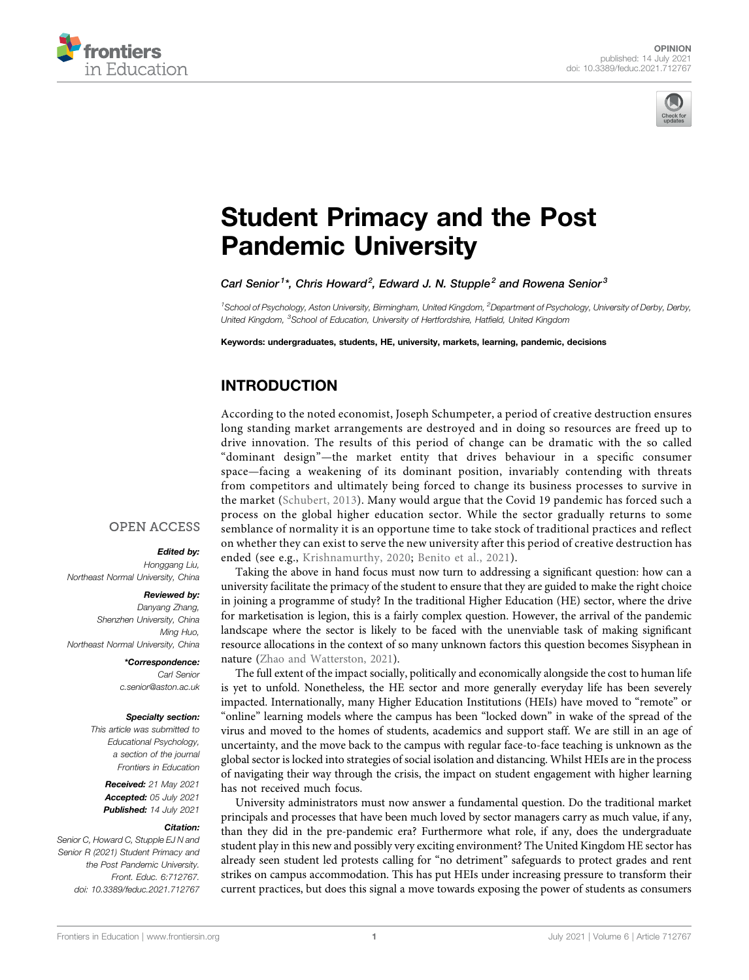



# [Student Primacy and the Post](https://www.frontiersin.org/articles/10.3389/feduc.2021.712767/full) [Pandemic University](https://www.frontiersin.org/articles/10.3389/feduc.2021.712767/full)

Carl Senior<sup>1\*</sup>, Chris Howard<sup>2</sup>, Edward J. N. Stupple<sup>2</sup> and Rowena Senior<sup>3</sup>

<sup>1</sup> School of Psychology, Aston University, Birmingham, United Kingdom, <sup>2</sup>Department of Psychology, University of Derby, Derby, United Kingdom, <sup>3</sup>School of Education, University of Hertfordshire, Hatfield, United Kingdom

Keywords: undergraduates, students, HE, university, markets, learning, pandemic, decisions

# INTRODUCTION

According to the noted economist, Joseph Schumpeter, a period of creative destruction ensures long standing market arrangements are destroyed and in doing so resources are freed up to drive innovation. The results of this period of change can be dramatic with the so called "dominant design"—the market entity that drives behaviour in a specific consumer space—facing a weakening of its dominant position, invariably contending with threats from competitors and ultimately being forced to change its business processes to survive in the market ([Schubert, 2013\)](#page-2-0). Many would argue that the Covid 19 pandemic has forced such a process on the global higher education sector. While the sector gradually returns to some semblance of normality it is an opportune time to take stock of traditional practices and reflect on whether they can exist to serve the new university after this period of creative destruction has ended (see e.g., [Krishnamurthy, 2020;](#page-2-1) [Benito et al., 2021\)](#page-2-2).

Taking the above in hand focus must now turn to addressing a significant question: how can a university facilitate the primacy of the student to ensure that they are guided to make the right choice in joining a programme of study? In the traditional Higher Education (HE) sector, where the drive for marketisation is legion, this is a fairly complex question. However, the arrival of the pandemic landscape where the sector is likely to be faced with the unenviable task of making significant resource allocations in the context of so many unknown factors this question becomes Sisyphean in nature ([Zhao and Watterston, 2021\)](#page-2-3).

The full extent of the impact socially, politically and economically alongside the cost to human life is yet to unfold. Nonetheless, the HE sector and more generally everyday life has been severely impacted. Internationally, many Higher Education Institutions (HEIs) have moved to "remote" or "online" learning models where the campus has been "locked down" in wake of the spread of the virus and moved to the homes of students, academics and support staff. We are still in an age of uncertainty, and the move back to the campus with regular face-to-face teaching is unknown as the global sector is locked into strategies of social isolation and distancing. Whilst HEIs are in the process of navigating their way through the crisis, the impact on student engagement with higher learning has not received much focus.

University administrators must now answer a fundamental question. Do the traditional market principals and processes that have been much loved by sector managers carry as much value, if any, than they did in the pre-pandemic era? Furthermore what role, if any, does the undergraduate student play in this new and possibly very exciting environment? The United Kingdom HE sector has already seen student led protests calling for "no detriment" safeguards to protect grades and rent strikes on campus accommodation. This has put HEIs under increasing pressure to transform their current practices, but does this signal a move towards exposing the power of students as consumers

### **OPEN ACCESS**

#### Edited by:

Honggang Liu, Northeast Normal University, China

> Reviewed by: Danyang Zhang, Shenzhen University, China Ming Huo,

Northeast Normal University, China \*Correspondence: Carl Senior [c.senior@aston.ac.uk](mailto:c.senior@aston.ac.uk)

#### Specialty section:

This article was submitted to Educational Psychology, a section of the journal Frontiers in Education

Received: 21 May 2021 Accepted: 05 July 2021 Published: 14 July 2021

#### Citation:

Senior C, Howard C, Stupple EJ N and Senior R (2021) Student Primacy and the Post Pandemic University. Front. Educ. 6:712767. doi: [10.3389/feduc.2021.712767](https://doi.org/10.3389/feduc.2021.712767)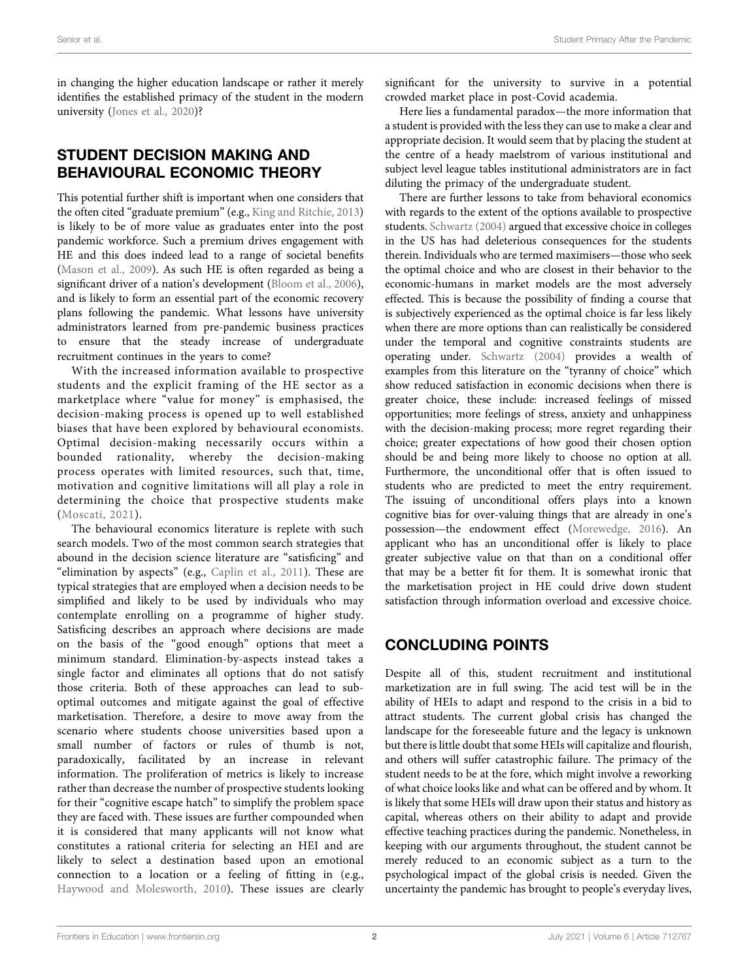in changing the higher education landscape or rather it merely identifies the established primacy of the student in the modern university [\(Jones et al., 2020](#page-2-4))?

# STUDENT DECISION MAKING AND BEHAVIOURAL ECONOMIC THEORY

This potential further shift is important when one considers that the often cited "graduate premium" (e.g., [King and Ritchie, 2013\)](#page-2-5) is likely to be of more value as graduates enter into the post pandemic workforce. Such a premium drives engagement with HE and this does indeed lead to a range of societal benefits ([Mason et al., 2009\)](#page-2-6). As such HE is often regarded as being a significant driver of a nation's development ([Bloom et al., 2006\)](#page-2-7), and is likely to form an essential part of the economic recovery plans following the pandemic. What lessons have university administrators learned from pre-pandemic business practices to ensure that the steady increase of undergraduate recruitment continues in the years to come?

With the increased information available to prospective students and the explicit framing of the HE sector as a marketplace where "value for money" is emphasised, the decision-making process is opened up to well established biases that have been explored by behavioural economists. Optimal decision-making necessarily occurs within a bounded rationality, whereby the decision-making process operates with limited resources, such that, time, motivation and cognitive limitations will all play a role in determining the choice that prospective students make ([Moscati, 2021](#page-2-8)).

The behavioural economics literature is replete with such search models. Two of the most common search strategies that abound in the decision science literature are "satisficing" and "elimination by aspects" (e.g., [Caplin et al., 2011\)](#page-2-9). These are typical strategies that are employed when a decision needs to be simplified and likely to be used by individuals who may contemplate enrolling on a programme of higher study. Satisficing describes an approach where decisions are made on the basis of the "good enough" options that meet a minimum standard. Elimination-by-aspects instead takes a single factor and eliminates all options that do not satisfy those criteria. Both of these approaches can lead to suboptimal outcomes and mitigate against the goal of effective marketisation. Therefore, a desire to move away from the scenario where students choose universities based upon a small number of factors or rules of thumb is not, paradoxically, facilitated by an increase in relevant information. The proliferation of metrics is likely to increase rather than decrease the number of prospective students looking for their "cognitive escape hatch" to simplify the problem space they are faced with. These issues are further compounded when it is considered that many applicants will not know what constitutes a rational criteria for selecting an HEI and are likely to select a destination based upon an emotional connection to a location or a feeling of fitting in (e.g., [Haywood and Molesworth, 2010](#page-2-10)). These issues are clearly

significant for the university to survive in a potential crowded market place in post-Covid academia.

Here lies a fundamental paradox—the more information that a student is provided with the less they can use to make a clear and appropriate decision. It would seem that by placing the student at the centre of a heady maelstrom of various institutional and subject level league tables institutional administrators are in fact diluting the primacy of the undergraduate student.

There are further lessons to take from behavioral economics with regards to the extent of the options available to prospective students. [Schwartz \(2004\)](#page-2-11) argued that excessive choice in colleges in the US has had deleterious consequences for the students therein. Individuals who are termed maximisers—those who seek the optimal choice and who are closest in their behavior to the economic-humans in market models are the most adversely effected. This is because the possibility of finding a course that is subjectively experienced as the optimal choice is far less likely when there are more options than can realistically be considered under the temporal and cognitive constraints students are operating under. [Schwartz \(2004\)](#page-2-11) provides a wealth of examples from this literature on the "tyranny of choice" which show reduced satisfaction in economic decisions when there is greater choice, these include: increased feelings of missed opportunities; more feelings of stress, anxiety and unhappiness with the decision-making process; more regret regarding their choice; greater expectations of how good their chosen option should be and being more likely to choose no option at all. Furthermore, the unconditional offer that is often issued to students who are predicted to meet the entry requirement. The issuing of unconditional offers plays into a known cognitive bias for over-valuing things that are already in one's possession—the endowment effect [\(Morewedge, 2016](#page-2-12)). An applicant who has an unconditional offer is likely to place greater subjective value on that than on a conditional offer that may be a better fit for them. It is somewhat ironic that the marketisation project in HE could drive down student satisfaction through information overload and excessive choice.

# CONCLUDING POINTS

Despite all of this, student recruitment and institutional marketization are in full swing. The acid test will be in the ability of HEIs to adapt and respond to the crisis in a bid to attract students. The current global crisis has changed the landscape for the foreseeable future and the legacy is unknown but there is little doubt that some HEIs will capitalize and flourish, and others will suffer catastrophic failure. The primacy of the student needs to be at the fore, which might involve a reworking of what choice looks like and what can be offered and by whom. It is likely that some HEIs will draw upon their status and history as capital, whereas others on their ability to adapt and provide effective teaching practices during the pandemic. Nonetheless, in keeping with our arguments throughout, the student cannot be merely reduced to an economic subject as a turn to the psychological impact of the global crisis is needed. Given the uncertainty the pandemic has brought to people's everyday lives,